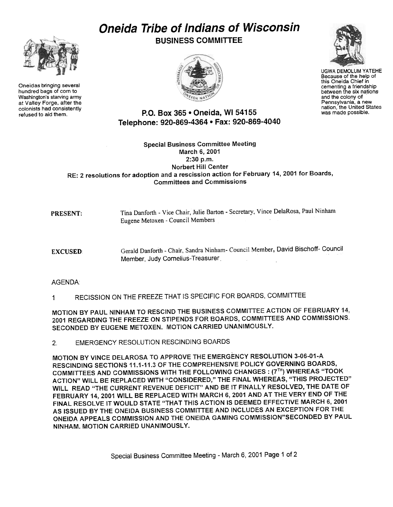## Oneida Tribe of Indians of Wisconsin

BUSINESS COMMITTEE





UGWA DEMOLUM YATEHE Because of the help of this Oneida Chief in cementing a friendship between the six nations and the colony of Pennsylvania, a new nation, the United States was made possible.

P.O. Box 365 . Oneida, WI 54155 Telephone: 920-869-4364 . Fax: 920-869-4040

## Special Business Committee Meeting March 6, 2001 2:30 p.m. Norbert Hill Center RE: 2 resolutions for adoption and a rescission action for February 14, 2001 for Boards, Committees and Commissions

Tina Danforth - Vice Chair, Julie Barton - Secretary, Vince DelaRosa, Paul Ninham. Eugene Metoxen -Council Members PRESENT:

Gerald Danforth - Chair, Sandra Ninham- Council Member, David Bischoff- Council Member, Judy Cornelius-Treasurer EXCUSED

## AGENDA:

1 RECISSION ON THE FREEZE THAT IS SPECIFIC FOR BOARDS, COMMITTEE

MOTION BY PAUL NINHAM TO RESCIND THE BUSINESS COMMITTEE ACTION OF FEBRUARY 14, 2001 REGARDING THE FREEZE ON STIPENDS FOR BOARDS, COMMITTEES AND COMMISSIONS. SECONDED BY EUGENE METOXEN. MOTION CARRIED UNANIMOUSLY.

2. EMERGENCY RESOLUTION RESCINDING BOARDS

MOTION BY VINCE DELAROSA TO APPROVE THE EMERGENCY RESOLUTION 3-06-01-A RESCINDING SECTIONS 11.1-11.3 OF THE COMPREHENSIVE POLICY GOVERNING BOARDS, COMMITTEES AND COMMISSIONS WITH THE FOLLOWING CHANGES: (7<sup>TH</sup>) WHEREAS "TOOK ACTION" WILL BE REPLACED WITH "CONSIDERED," THE FINAL WHEREAS, "THIS PROJECTED" WILL READ "THE CURRENT REVENUE DEFICIT" AND BE!T FINALLY RESOLVED, THE DATE OF FEBRUARY 14, 2001 WILL BE REPLACED WITH MARCH 6, 2001 AND AT THE VERY END OF THE FINAL RESOLVE IT WOULD STATE "THAT THIS ACTION IS DEEMED EFFECTIVE MARCH 6, 2001 AS ISSUED BY THE ONEIDA BUSINESS COMMITTEE AND INCLUDES AN EXCEPTION FOR THE ONEIDA APPEALS COMMISSION AND THE ONEIDA GAMING COMMISSION"SECONDED BY PAIJL NINHAM. MOTION CARRIED UNANIMOUSLY.



Oneidas bringing several hundred bags of corn to Washington's starving army at Valley Forge, after the colonists had consistently<br>refused to aid them.